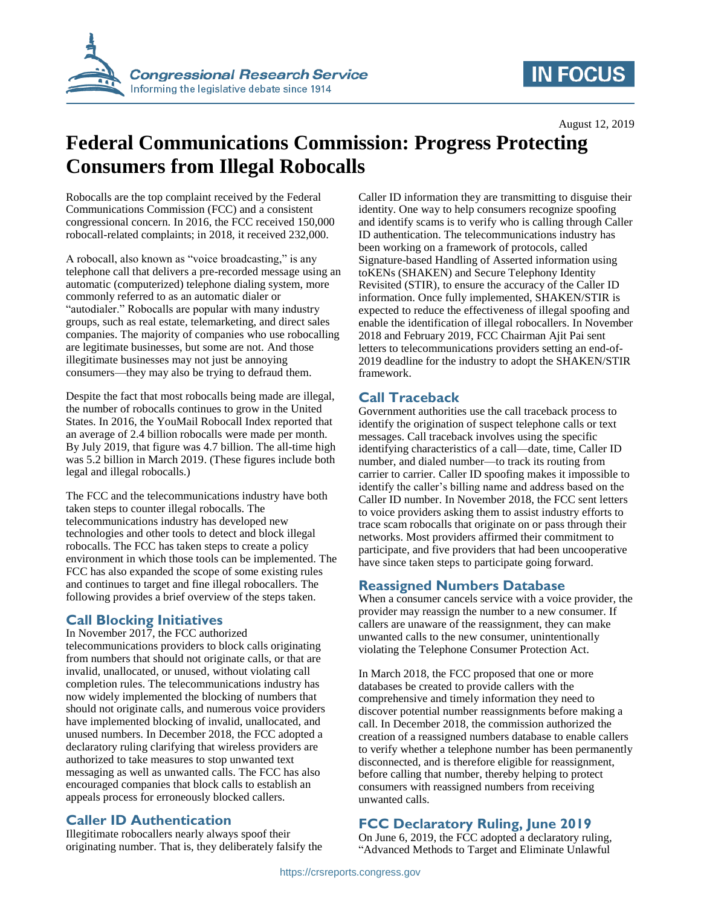

# **IN FOCUS**

# **Federal Communications Commission: Progress Protecting Consumers from Illegal Robocalls**

Robocalls are the top complaint received by the Federal Communications Commission (FCC) and a consistent congressional concern. In 2016, the FCC received 150,000 robocall-related complaints; in 2018, it received 232,000.

A robocall, also known as "voice broadcasting," is any telephone call that delivers a pre-recorded message using an automatic (computerized) telephone dialing system, more commonly referred to as an automatic dialer or "autodialer." Robocalls are popular with many industry groups, such as real estate, telemarketing, and direct sales companies. The majority of companies who use robocalling are legitimate businesses, but some are not. And those illegitimate businesses may not just be annoying consumers—they may also be trying to defraud them.

Despite the fact that most robocalls being made are illegal, the number of robocalls continues to grow in the United States. In 2016, the YouMail Robocall Index reported that an average of 2.4 billion robocalls were made per month. By July 2019, that figure was 4.7 billion. The all-time high was 5.2 billion in March 2019. (These figures include both legal and illegal robocalls.)

The FCC and the telecommunications industry have both taken steps to counter illegal robocalls. The telecommunications industry has developed new technologies and other tools to detect and block illegal robocalls. The FCC has taken steps to create a policy environment in which those tools can be implemented. The FCC has also expanded the scope of some existing rules and continues to target and fine illegal robocallers. The following provides a brief overview of the steps taken.

# **Call Blocking Initiatives**

In November 2017, the FCC authorized telecommunications providers to block calls originating from numbers that should not originate calls, or that are invalid, unallocated, or unused, without violating call completion rules. The telecommunications industry has now widely implemented the blocking of numbers that should not originate calls, and numerous voice providers have implemented blocking of invalid, unallocated, and unused numbers. In December 2018, the FCC adopted a declaratory ruling clarifying that wireless providers are authorized to take measures to stop unwanted text messaging as well as unwanted calls. The FCC has also encouraged companies that block calls to establish an appeals process for erroneously blocked callers.

# **Caller ID Authentication**

Illegitimate robocallers nearly always spoof their originating number. That is, they deliberately falsify the Caller ID information they are transmitting to disguise their identity. One way to help consumers recognize spoofing and identify scams is to verify who is calling through Caller ID authentication. The telecommunications industry has been working on a framework of protocols, called Signature-based Handling of Asserted information using toKENs (SHAKEN) and Secure Telephony Identity Revisited (STIR), to ensure the accuracy of the Caller ID information. Once fully implemented, SHAKEN/STIR is expected to reduce the effectiveness of illegal spoofing and enable the identification of illegal robocallers. In November 2018 and February 2019, FCC Chairman Ajit Pai sent letters to telecommunications providers setting an end-of-2019 deadline for the industry to adopt the SHAKEN/STIR framework.

# **Call Traceback**

Government authorities use the call traceback process to identify the origination of suspect telephone calls or text messages. Call traceback involves using the specific identifying characteristics of a call—date, time, Caller ID number, and dialed number—to track its routing from carrier to carrier. Caller ID spoofing makes it impossible to identify the caller's billing name and address based on the Caller ID number. In November 2018, the FCC sent letters to voice providers asking them to assist industry efforts to trace scam robocalls that originate on or pass through their networks. Most providers affirmed their commitment to participate, and five providers that had been uncooperative have since taken steps to participate going forward.

# **Reassigned Numbers Database**

When a consumer cancels service with a voice provider, the provider may reassign the number to a new consumer. If callers are unaware of the reassignment, they can make unwanted calls to the new consumer, unintentionally violating the Telephone Consumer Protection Act.

In March 2018, the FCC proposed that one or more databases be created to provide callers with the comprehensive and timely information they need to discover potential number reassignments before making a call. In December 2018, the commission authorized the creation of a reassigned numbers database to enable callers to verify whether a telephone number has been permanently disconnected, and is therefore eligible for reassignment, before calling that number, thereby helping to protect consumers with reassigned numbers from receiving unwanted calls.

# **FCC Declaratory Ruling, June 2019**

On June 6, 2019, the FCC adopted a declaratory ruling, "Advanced Methods to Target and Eliminate Unlawful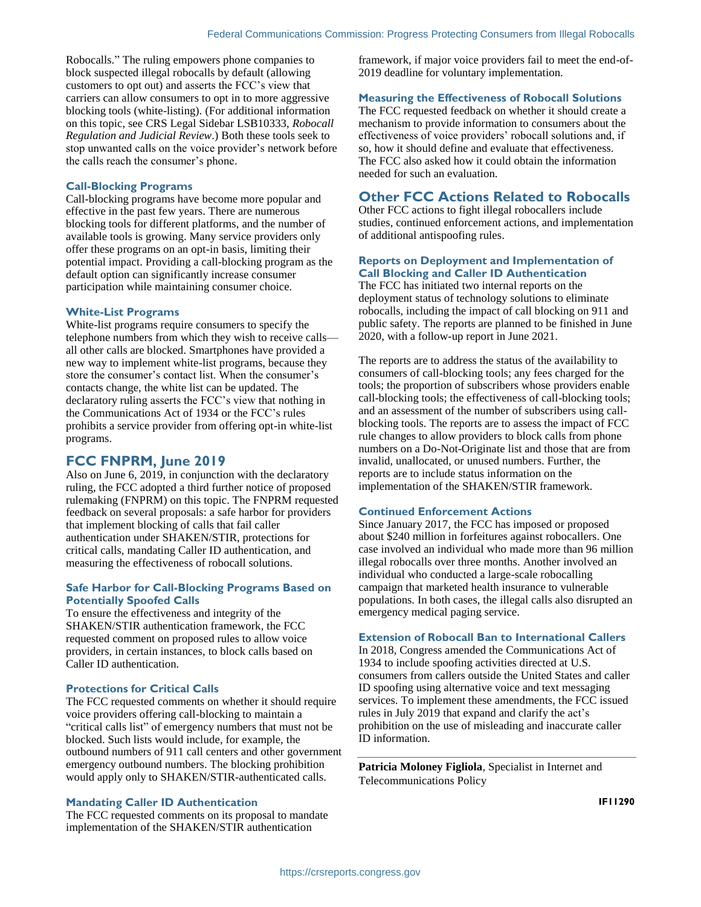Robocalls." The ruling empowers phone companies to block suspected illegal robocalls by default (allowing customers to opt out) and asserts the FCC's view that carriers can allow consumers to opt in to more aggressive blocking tools (white-listing). (For additional information on this topic, see CRS Legal Sidebar LSB10333, *Robocall Regulation and Judicial Review*.) Both these tools seek to stop unwanted calls on the voice provider's network before the calls reach the consumer's phone.

#### **Call-Blocking Programs**

Call-blocking programs have become more popular and effective in the past few years. There are numerous blocking tools for different platforms, and the number of available tools is growing. Many service providers only offer these programs on an opt-in basis, limiting their potential impact. Providing a call-blocking program as the default option can significantly increase consumer participation while maintaining consumer choice.

#### **White-List Programs**

White-list programs require consumers to specify the telephone numbers from which they wish to receive calls all other calls are blocked. Smartphones have provided a new way to implement white-list programs, because they store the consumer's contact list. When the consumer's contacts change, the white list can be updated. The declaratory ruling asserts the FCC's view that nothing in the Communications Act of 1934 or the FCC's rules prohibits a service provider from offering opt-in white-list programs.

### **FCC FNPRM, June 2019**

Also on June 6, 2019, in conjunction with the declaratory ruling, the FCC adopted a third further notice of proposed rulemaking (FNPRM) on this topic. The FNPRM requested feedback on several proposals: a safe harbor for providers that implement blocking of calls that fail caller authentication under SHAKEN/STIR, protections for critical calls, mandating Caller ID authentication, and measuring the effectiveness of robocall solutions.

#### **Safe Harbor for Call-Blocking Programs Based on Potentially Spoofed Calls**

To ensure the effectiveness and integrity of the SHAKEN/STIR authentication framework, the FCC requested comment on proposed rules to allow voice providers, in certain instances, to block calls based on Caller ID authentication.

#### **Protections for Critical Calls**

The FCC requested comments on whether it should require voice providers offering call-blocking to maintain a "critical calls list" of emergency numbers that must not be blocked. Such lists would include, for example, the outbound numbers of 911 call centers and other government emergency outbound numbers. The blocking prohibition would apply only to SHAKEN/STIR-authenticated calls.

#### **Mandating Caller ID Authentication**

The FCC requested comments on its proposal to mandate implementation of the SHAKEN/STIR authentication

framework, if major voice providers fail to meet the end-of-2019 deadline for voluntary implementation.

#### **Measuring the Effectiveness of Robocall Solutions**

The FCC requested feedback on whether it should create a mechanism to provide information to consumers about the effectiveness of voice providers' robocall solutions and, if so, how it should define and evaluate that effectiveness. The FCC also asked how it could obtain the information needed for such an evaluation.

### **Other FCC Actions Related to Robocalls**

Other FCC actions to fight illegal robocallers include studies, continued enforcement actions, and implementation of additional antispoofing rules.

#### **Reports on Deployment and Implementation of Call Blocking and Caller ID Authentication**

The FCC has initiated two internal reports on the deployment status of technology solutions to eliminate robocalls, including the impact of call blocking on 911 and public safety. The reports are planned to be finished in June 2020, with a follow-up report in June 2021.

The reports are to address the status of the availability to consumers of call-blocking tools; any fees charged for the tools; the proportion of subscribers whose providers enable call-blocking tools; the effectiveness of call-blocking tools; and an assessment of the number of subscribers using callblocking tools. The reports are to assess the impact of FCC rule changes to allow providers to block calls from phone numbers on a Do-Not-Originate list and those that are from invalid, unallocated, or unused numbers. Further, the reports are to include status information on the implementation of the SHAKEN/STIR framework.

#### **Continued Enforcement Actions**

Since January 2017, the FCC has imposed or proposed about \$240 million in forfeitures against robocallers. One case involved an individual who made more than 96 million illegal robocalls over three months. Another involved an individual who conducted a large-scale robocalling campaign that marketed health insurance to vulnerable populations. In both cases, the illegal calls also disrupted an emergency medical paging service.

#### **Extension of Robocall Ban to International Callers**

In 2018, Congress amended the Communications Act of 1934 to include spoofing activities directed at U.S. consumers from callers outside the United States and caller ID spoofing using alternative voice and text messaging services. To implement these amendments, the FCC issued rules in July 2019 that expand and clarify the act's prohibition on the use of misleading and inaccurate caller ID information.

**Patricia Moloney Figliola**, Specialist in Internet and Telecommunications Policy